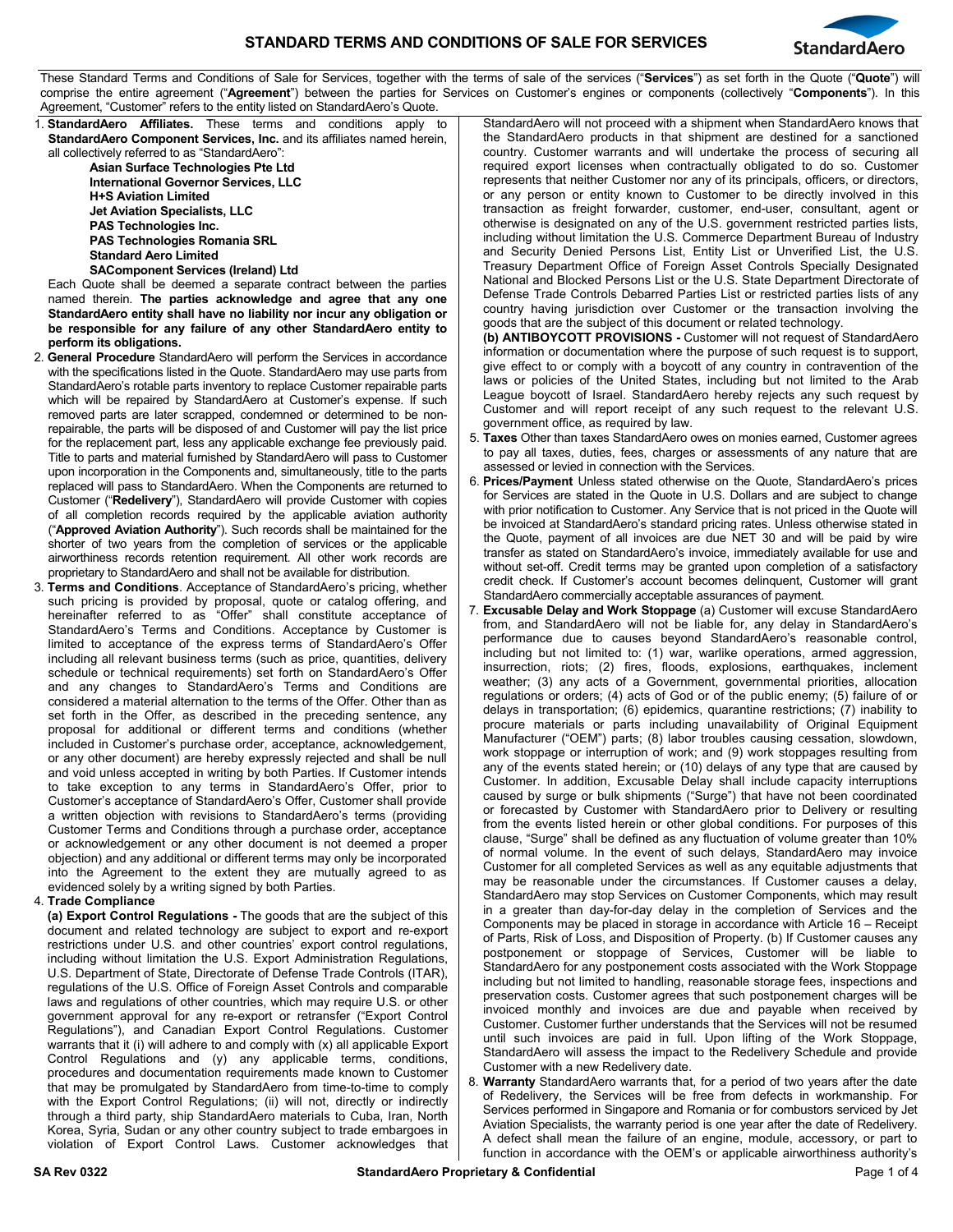

These Standard Terms and Conditions of Sale for Services, together with the terms of sale of the services ("**Services**") as set forth in the Quote ("**Quote**") will comprise the entire agreement ("**Agreement**") between the parties for Services on Customer's engines or components (collectively "**Components**"). In this Agreement, "Customer" refers to the entity listed on StandardAero's Quote.

1. **StandardAero Affiliates.** These terms and conditions apply to **StandardAero Component Services, Inc.** and its affiliates named herein, all collectively referred to as "StandardAero":

**Asian Surface Technologies Pte Ltd International Governor Services, LLC H+S Aviation Limited Jet Aviation Specialists, LLC PAS Technologies Inc. PAS Technologies Romania SRL Standard Aero Limited**

**SAComponent Services (Ireland) Ltd**

Each Quote shall be deemed a separate contract between the parties named therein. **The parties acknowledge and agree that any one StandardAero entity shall have no liability nor incur any obligation or be responsible for any failure of any other StandardAero entity to perform its obligations.**

- 2. **General Procedure** StandardAero will perform the Services in accordance with the specifications listed in the Quote. StandardAero may use parts from StandardAero's rotable parts inventory to replace Customer repairable parts which will be repaired by StandardAero at Customer's expense. If such removed parts are later scrapped, condemned or determined to be nonrepairable, the parts will be disposed of and Customer will pay the list price for the replacement part, less any applicable exchange fee previously paid. Title to parts and material furnished by StandardAero will pass to Customer upon incorporation in the Components and, simultaneously, title to the parts replaced will pass to StandardAero. When the Components are returned to Customer ("**Redelivery**"), StandardAero will provide Customer with copies of all completion records required by the applicable aviation authority ("**Approved Aviation Authority**"). Such records shall be maintained for the shorter of two years from the completion of services or the applicable airworthiness records retention requirement. All other work records are proprietary to StandardAero and shall not be available for distribution.
- 3. **Terms and Conditions**. Acceptance of StandardAero's pricing, whether such pricing is provided by proposal, quote or catalog offering, and hereinafter referred to as "Offer" shall constitute acceptance of StandardAero's Terms and Conditions. Acceptance by Customer is limited to acceptance of the express terms of StandardAero's Offer including all relevant business terms (such as price, quantities, delivery schedule or technical requirements) set forth on StandardAero's Offer and any changes to StandardAero's Terms and Conditions are considered a material alternation to the terms of the Offer. Other than as set forth in the Offer, as described in the preceding sentence, any proposal for additional or different terms and conditions (whether included in Customer's purchase order, acceptance, acknowledgement, or any other document) are hereby expressly rejected and shall be null and void unless accepted in writing by both Parties. If Customer intends to take exception to any terms in StandardAero's Offer, prior to Customer's acceptance of StandardAero's Offer, Customer shall provide a written objection with revisions to StandardAero's terms (providing Customer Terms and Conditions through a purchase order, acceptance or acknowledgement or any other document is not deemed a proper objection) and any additional or different terms may only be incorporated into the Agreement to the extent they are mutually agreed to as evidenced solely by a writing signed by both Parties.

## 4. **Trade Compliance**

**(a) Export Control Regulations -** The goods that are the subject of this document and related technology are subject to export and re-export restrictions under U.S. and other countries' export control regulations, including without limitation the U.S. Export Administration Regulations, U.S. Department of State, Directorate of Defense Trade Controls (ITAR), regulations of the U.S. Office of Foreign Asset Controls and comparable laws and regulations of other countries, which may require U.S. or other government approval for any re-export or retransfer ("Export Control Regulations"), and Canadian Export Control Regulations. Customer warrants that it (i) will adhere to and comply with (x) all applicable Export Control Regulations and (y) any applicable terms, conditions, procedures and documentation requirements made known to Customer that may be promulgated by StandardAero from time-to-time to comply with the Export Control Regulations; (ii) will not, directly or indirectly through a third party, ship StandardAero materials to Cuba, Iran, North Korea, Syria, Sudan or any other country subject to trade embargoes in violation of Export Control Laws. Customer acknowledges that StandardAero will not proceed with a shipment when StandardAero knows that the StandardAero products in that shipment are destined for a sanctioned country. Customer warrants and will undertake the process of securing all required export licenses when contractually obligated to do so. Customer represents that neither Customer nor any of its principals, officers, or directors, or any person or entity known to Customer to be directly involved in this transaction as freight forwarder, customer, end-user, consultant, agent or otherwise is designated on any of the U.S. government restricted parties lists, including without limitation the U.S. Commerce Department Bureau of Industry and Security Denied Persons List, Entity List or Unverified List, the U.S. Treasury Department Office of Foreign Asset Controls Specially Designated National and Blocked Persons List or the U.S. State Department Directorate of Defense Trade Controls Debarred Parties List or restricted parties lists of any country having jurisdiction over Customer or the transaction involving the goods that are the subject of this document or related technology.

**(b) ANTIBOYCOTT PROVISIONS -** Customer will not request of StandardAero information or documentation where the purpose of such request is to support, give effect to or comply with a boycott of any country in contravention of the laws or policies of the United States, including but not limited to the Arab League boycott of Israel. StandardAero hereby rejects any such request by Customer and will report receipt of any such request to the relevant U.S. government office, as required by law.

- 5. **Taxes** Other than taxes StandardAero owes on monies earned, Customer agrees to pay all taxes, duties, fees, charges or assessments of any nature that are assessed or levied in connection with the Services.
- 6. **Prices/Payment** Unless stated otherwise on the Quote, StandardAero's prices for Services are stated in the Quote in U.S. Dollars and are subject to change with prior notification to Customer. Any Service that is not priced in the Quote will be invoiced at StandardAero's standard pricing rates. Unless otherwise stated in the Quote, payment of all invoices are due NET 30 and will be paid by wire transfer as stated on StandardAero's invoice, immediately available for use and without set-off. Credit terms may be granted upon completion of a satisfactory credit check. If Customer's account becomes delinquent, Customer will grant StandardAero commercially acceptable assurances of payment.
- 7. **Excusable Delay and Work Stoppage** (a) Customer will excuse StandardAero from, and StandardAero will not be liable for, any delay in StandardAero's performance due to causes beyond StandardAero's reasonable control, including but not limited to: (1) war, warlike operations, armed aggression, insurrection, riots; (2) fires, floods, explosions, earthquakes, inclement weather; (3) any acts of a Government, governmental priorities, allocation regulations or orders; (4) acts of God or of the public enemy; (5) failure of or delays in transportation; (6) epidemics, quarantine restrictions; (7) inability to procure materials or parts including unavailability of Original Equipment Manufacturer ("OEM") parts; (8) labor troubles causing cessation, slowdown, work stoppage or interruption of work; and (9) work stoppages resulting from any of the events stated herein; or (10) delays of any type that are caused by Customer. In addition, Excusable Delay shall include capacity interruptions caused by surge or bulk shipments ("Surge") that have not been coordinated or forecasted by Customer with StandardAero prior to Delivery or resulting from the events listed herein or other global conditions. For purposes of this clause, "Surge" shall be defined as any fluctuation of volume greater than 10% of normal volume. In the event of such delays, StandardAero may invoice Customer for all completed Services as well as any equitable adjustments that may be reasonable under the circumstances. If Customer causes a delay, StandardAero may stop Services on Customer Components, which may result in a greater than day-for-day delay in the completion of Services and the Components may be placed in storage in accordance with Article 16 – Receipt of Parts, Risk of Loss, and Disposition of Property. (b) If Customer causes any postponement or stoppage of Services, Customer will be liable to StandardAero for any postponement costs associated with the Work Stoppage including but not limited to handling, reasonable storage fees, inspections and preservation costs. Customer agrees that such postponement charges will be invoiced monthly and invoices are due and payable when received by Customer. Customer further understands that the Services will not be resumed until such invoices are paid in full. Upon lifting of the Work Stoppage, StandardAero will assess the impact to the Redelivery Schedule and provide Customer with a new Redelivery date.
- 8. **Warranty** StandardAero warrants that, for a period of two years after the date of Redelivery, the Services will be free from defects in workmanship. For Services performed in Singapore and Romania or for combustors serviced by Jet Aviation Specialists, the warranty period is one year after the date of Redelivery. A defect shall mean the failure of an engine, module, accessory, or part to function in accordance with the OEM's or applicable airworthiness authority's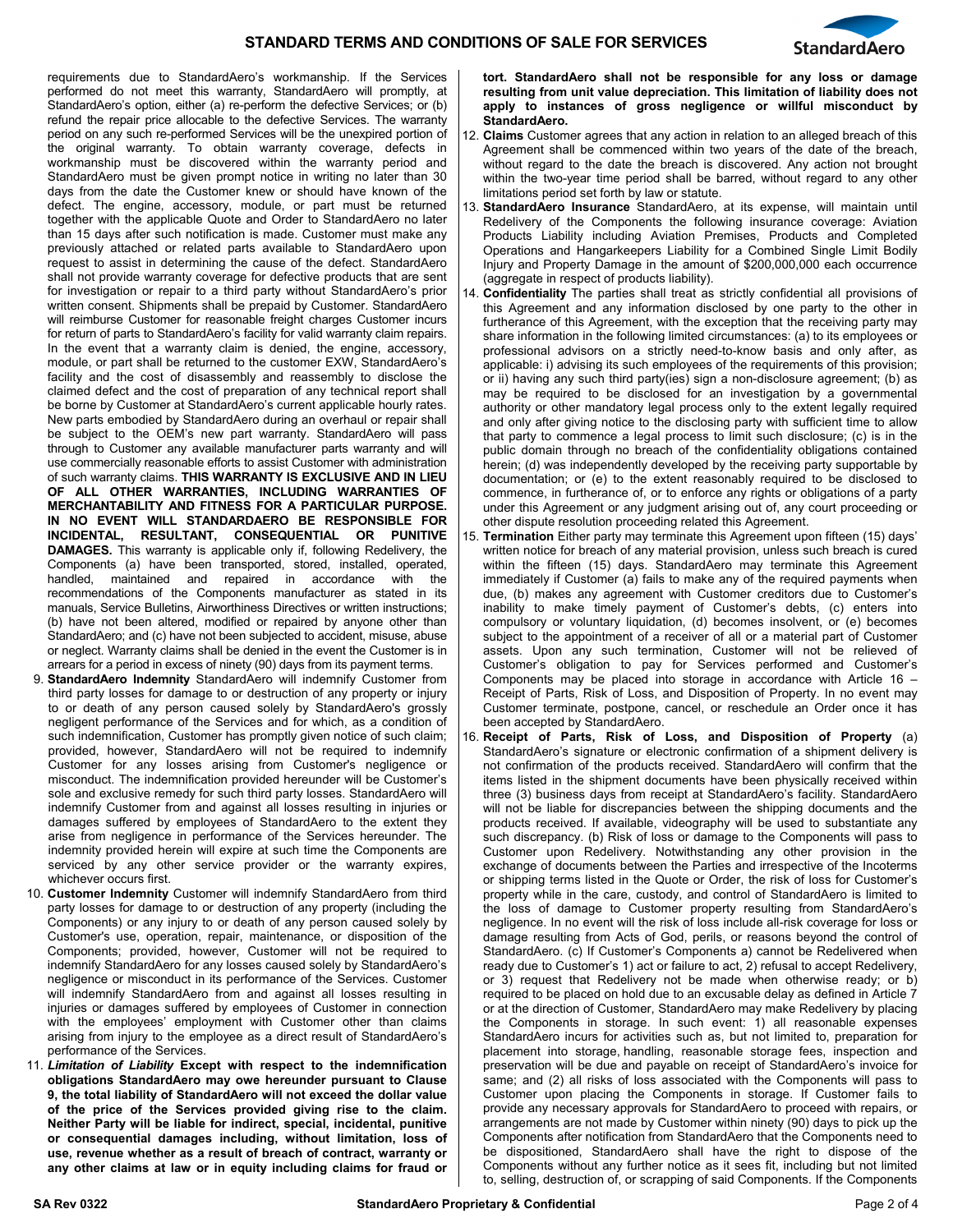



requirements due to StandardAero's workmanship. If the Services performed do not meet this warranty, StandardAero will promptly, at StandardAero's option, either (a) re-perform the defective Services; or (b) refund the repair price allocable to the defective Services. The warranty period on any such re-performed Services will be the unexpired portion of the original warranty. To obtain warranty coverage, defects in workmanship must be discovered within the warranty period and StandardAero must be given prompt notice in writing no later than 30 days from the date the Customer knew or should have known of the defect. The engine, accessory, module, or part must be returned together with the applicable Quote and Order to StandardAero no later than 15 days after such notification is made. Customer must make any previously attached or related parts available to StandardAero upon request to assist in determining the cause of the defect. StandardAero shall not provide warranty coverage for defective products that are sent for investigation or repair to a third party without StandardAero's prior written consent. Shipments shall be prepaid by Customer. StandardAero will reimburse Customer for reasonable freight charges Customer incurs for return of parts to StandardAero's facility for valid warranty claim repairs. In the event that a warranty claim is denied, the engine, accessory, module, or part shall be returned to the customer EXW, StandardAero's facility and the cost of disassembly and reassembly to disclose the claimed defect and the cost of preparation of any technical report shall be borne by Customer at StandardAero's current applicable hourly rates. New parts embodied by StandardAero during an overhaul or repair shall be subject to the OEM's new part warranty. StandardAero will pass through to Customer any available manufacturer parts warranty and will use commercially reasonable efforts to assist Customer with administration of such warranty claims. **THIS WARRANTY IS EXCLUSIVE AND IN LIEU OF ALL OTHER WARRANTIES, INCLUDING WARRANTIES OF MERCHANTABILITY AND FITNESS FOR A PARTICULAR PURPOSE. IN NO EVENT WILL STANDARDAERO BE RESPONSIBLE FOR INCIDENTAL, RESULTANT, CONSEQUENTIAL OR PUNITIVE DAMAGES.** This warranty is applicable only if, following Redelivery, the Components (a) have been transported, stored, installed, operated, handled, maintained and repaired in accordance with the recommendations of the Components manufacturer as stated in its manuals, Service Bulletins, Airworthiness Directives or written instructions; (b) have not been altered, modified or repaired by anyone other than StandardAero; and (c) have not been subjected to accident, misuse, abuse or neglect. Warranty claims shall be denied in the event the Customer is in arrears for a period in excess of ninety (90) days from its payment terms.

- 9. **StandardAero Indemnity** StandardAero will indemnify Customer from third party losses for damage to or destruction of any property or injury to or death of any person caused solely by StandardAero's grossly negligent performance of the Services and for which, as a condition of such indemnification, Customer has promptly given notice of such claim; provided, however, StandardAero will not be required to indemnify Customer for any losses arising from Customer's negligence or misconduct. The indemnification provided hereunder will be Customer's sole and exclusive remedy for such third party losses. StandardAero will indemnify Customer from and against all losses resulting in injuries or damages suffered by employees of StandardAero to the extent they arise from negligence in performance of the Services hereunder. The indemnity provided herein will expire at such time the Components are serviced by any other service provider or the warranty expires, whichever occurs first.
- 10. **Customer Indemnity** Customer will indemnify StandardAero from third party losses for damage to or destruction of any property (including the Components) or any injury to or death of any person caused solely by Customer's use, operation, repair, maintenance, or disposition of the Components; provided, however, Customer will not be required to indemnify StandardAero for any losses caused solely by StandardAero's negligence or misconduct in its performance of the Services. Customer will indemnify StandardAero from and against all losses resulting in injuries or damages suffered by employees of Customer in connection with the employees' employment with Customer other than claims arising from injury to the employee as a direct result of StandardAero's performance of the Services.
- 11. *Limitation of Liability* **Except with respect to the indemnification obligations StandardAero may owe hereunder pursuant to Clause 9, the total liability of StandardAero will not exceed the dollar value of the price of the Services provided giving rise to the claim. Neither Party will be liable for indirect, special, incidental, punitive or consequential damages including, without limitation, loss of use, revenue whether as a result of breach of contract, warranty or any other claims at law or in equity including claims for fraud or**

**tort. StandardAero shall not be responsible for any loss or damage resulting from unit value depreciation. This limitation of liability does not apply to instances of gross negligence or willful misconduct by StandardAero.** 

- 12. **Claims** Customer agrees that any action in relation to an alleged breach of this Agreement shall be commenced within two years of the date of the breach, without regard to the date the breach is discovered. Any action not brought within the two-year time period shall be barred, without regard to any other limitations period set forth by law or statute.
- 13. **StandardAero Insurance** StandardAero, at its expense, will maintain until Redelivery of the Components the following insurance coverage: Aviation Products Liability including Aviation Premises, Products and Completed Operations and Hangarkeepers Liability for a Combined Single Limit Bodily Injury and Property Damage in the amount of \$200,000,000 each occurrence (aggregate in respect of products liability).
- 14. **Confidentiality** The parties shall treat as strictly confidential all provisions of this Agreement and any information disclosed by one party to the other in furtherance of this Agreement, with the exception that the receiving party may share information in the following limited circumstances: (a) to its employees or professional advisors on a strictly need-to-know basis and only after, as applicable: i) advising its such employees of the requirements of this provision; or ii) having any such third party(ies) sign a non-disclosure agreement; (b) as may be required to be disclosed for an investigation by a governmental authority or other mandatory legal process only to the extent legally required and only after giving notice to the disclosing party with sufficient time to allow that party to commence a legal process to limit such disclosure; (c) is in the public domain through no breach of the confidentiality obligations contained herein; (d) was independently developed by the receiving party supportable by documentation; or (e) to the extent reasonably required to be disclosed to commence, in furtherance of, or to enforce any rights or obligations of a party under this Agreement or any judgment arising out of, any court proceeding or other dispute resolution proceeding related this Agreement.
- 15. **Termination** Either party may terminate this Agreement upon fifteen (15) days' written notice for breach of any material provision, unless such breach is cured within the fifteen (15) days. StandardAero may terminate this Agreement immediately if Customer (a) fails to make any of the required payments when due, (b) makes any agreement with Customer creditors due to Customer's inability to make timely payment of Customer's debts, (c) enters into compulsory or voluntary liquidation, (d) becomes insolvent, or (e) becomes subject to the appointment of a receiver of all or a material part of Customer assets. Upon any such termination, Customer will not be relieved of Customer's obligation to pay for Services performed and Customer's Components may be placed into storage in accordance with Article 16 – Receipt of Parts, Risk of Loss, and Disposition of Property. In no event may Customer terminate, postpone, cancel, or reschedule an Order once it has been accepted by StandardAero.
- 16. **Receipt of Parts, Risk of Loss, and Disposition of Property** (a) StandardAero's signature or electronic confirmation of a shipment delivery is not confirmation of the products received. StandardAero will confirm that the items listed in the shipment documents have been physically received within three (3) business days from receipt at StandardAero's facility. StandardAero will not be liable for discrepancies between the shipping documents and the products received. If available, videography will be used to substantiate any such discrepancy. (b) Risk of loss or damage to the Components will pass to Customer upon Redelivery. Notwithstanding any other provision in the exchange of documents between the Parties and irrespective of the Incoterms or shipping terms listed in the Quote or Order, the risk of loss for Customer's property while in the care, custody, and control of StandardAero is limited to the loss of damage to Customer property resulting from StandardAero's negligence. In no event will the risk of loss include all-risk coverage for loss or damage resulting from Acts of God, perils, or reasons beyond the control of StandardAero. (c) If Customer's Components a) cannot be Redelivered when ready due to Customer's 1) act or failure to act, 2) refusal to accept Redelivery, or 3) request that Redelivery not be made when otherwise ready; or b) required to be placed on hold due to an excusable delay as defined in Article 7 or at the direction of Customer, StandardAero may make Redelivery by placing the Components in storage. In such event: 1) all reasonable expenses StandardAero incurs for activities such as, but not limited to, preparation for placement into storage, handling, reasonable storage fees, inspection and preservation will be due and payable on receipt of StandardAero's invoice for same; and (2) all risks of loss associated with the Components will pass to Customer upon placing the Components in storage. If Customer fails to provide any necessary approvals for StandardAero to proceed with repairs, or arrangements are not made by Customer within ninety (90) days to pick up the Components after notification from StandardAero that the Components need to be dispositioned, StandardAero shall have the right to dispose of the Components without any further notice as it sees fit, including but not limited to, selling, destruction of, or scrapping of said Components. If the Components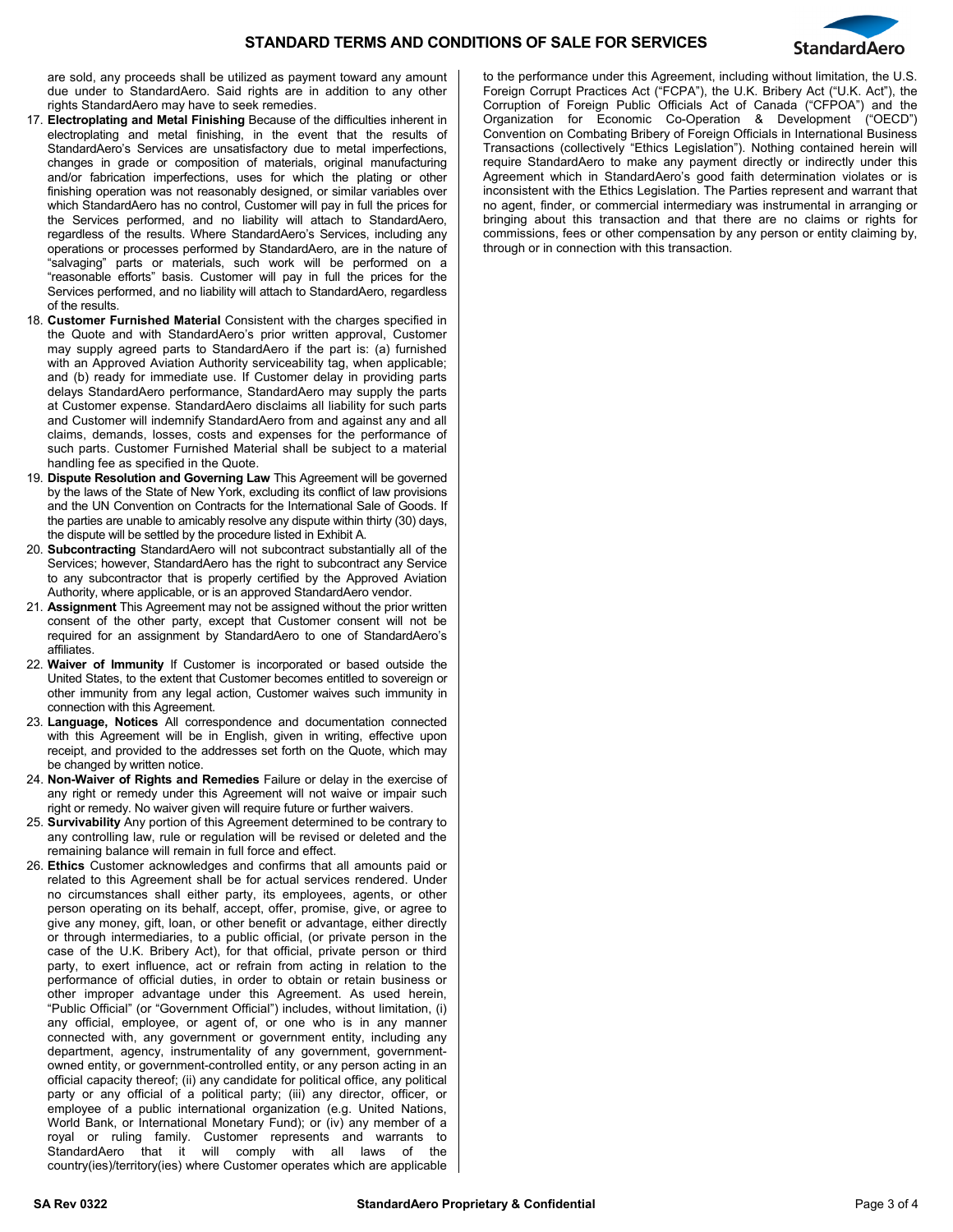

are sold, any proceeds shall be utilized as payment toward any amount due under to StandardAero. Said rights are in addition to any other rights StandardAero may have to seek remedies.

- 17. **Electroplating and Metal Finishing** Because of the difficulties inherent in electroplating and metal finishing, in the event that the results of StandardAero's Services are unsatisfactory due to metal imperfections, changes in grade or composition of materials, original manufacturing and/or fabrication imperfections, uses for which the plating or other finishing operation was not reasonably designed, or similar variables over which StandardAero has no control, Customer will pay in full the prices for the Services performed, and no liability will attach to StandardAero, regardless of the results. Where StandardAero's Services, including any operations or processes performed by StandardAero, are in the nature of "salvaging" parts or materials, such work will be performed on a "reasonable efforts" basis. Customer will pay in full the prices for the Services performed, and no liability will attach to StandardAero, regardless of the results.
- 18. **Customer Furnished Material** Consistent with the charges specified in the Quote and with StandardAero's prior written approval, Customer may supply agreed parts to StandardAero if the part is: (a) furnished with an Approved Aviation Authority serviceability tag, when applicable; and (b) ready for immediate use. If Customer delay in providing parts delays StandardAero performance, StandardAero may supply the parts at Customer expense. StandardAero disclaims all liability for such parts and Customer will indemnify StandardAero from and against any and all claims, demands, losses, costs and expenses for the performance of such parts. Customer Furnished Material shall be subject to a material handling fee as specified in the Quote.
- 19. **Dispute Resolution and Governing Law** This Agreement will be governed by the laws of the State of New York, excluding its conflict of law provisions and the UN Convention on Contracts for the International Sale of Goods. If the parties are unable to amicably resolve any dispute within thirty (30) days, the dispute will be settled by the procedure listed in Exhibit A.
- 20. **Subcontracting** StandardAero will not subcontract substantially all of the Services; however, StandardAero has the right to subcontract any Service to any subcontractor that is properly certified by the Approved Aviation Authority, where applicable, or is an approved StandardAero vendor.
- 21. **Assignment** This Agreement may not be assigned without the prior written consent of the other party, except that Customer consent will not be required for an assignment by StandardAero to one of StandardAero's affiliates.
- 22. **Waiver of Immunity** If Customer is incorporated or based outside the United States, to the extent that Customer becomes entitled to sovereign or other immunity from any legal action, Customer waives such immunity in connection with this Agreement.
- 23. **Language, Notices** All correspondence and documentation connected with this Agreement will be in English, given in writing, effective upon receipt, and provided to the addresses set forth on the Quote, which may be changed by written notice.
- 24. **Non-Waiver of Rights and Remedies** Failure or delay in the exercise of any right or remedy under this Agreement will not waive or impair such right or remedy. No waiver given will require future or further waivers.
- 25. **Survivability** Any portion of this Agreement determined to be contrary to any controlling law, rule or regulation will be revised or deleted and the remaining balance will remain in full force and effect.
- 26. **Ethics** Customer acknowledges and confirms that all amounts paid or related to this Agreement shall be for actual services rendered. Under no circumstances shall either party, its employees, agents, or other person operating on its behalf, accept, offer, promise, give, or agree to give any money, gift, loan, or other benefit or advantage, either directly or through intermediaries, to a public official, (or private person in the case of the U.K. Bribery Act), for that official, private person or third party, to exert influence, act or refrain from acting in relation to the performance of official duties, in order to obtain or retain business or other improper advantage under this Agreement. As used herein, "Public Official" (or "Government Official") includes, without limitation, (i) any official, employee, or agent of, or one who is in any manner connected with, any government or government entity, including any department, agency, instrumentality of any government, governmentowned entity, or government-controlled entity, or any person acting in an official capacity thereof; (ii) any candidate for political office, any political party or any official of a political party; (iii) any director, officer, or employee of a public international organization (e.g. United Nations, World Bank, or International Monetary Fund); or (iv) any member of a royal or ruling family. Customer represents and warrants to StandardAero that it will comply with all laws of the country(ies)/territory(ies) where Customer operates which are applicable

to the performance under this Agreement, including without limitation, the U.S. Foreign Corrupt Practices Act ("FCPA"), the U.K. Bribery Act ("U.K. Act"), the Corruption of Foreign Public Officials Act of Canada ("CFPOA") and the Organization for Economic Co-Operation & Development ("OECD") Convention on Combating Bribery of Foreign Officials in International Business Transactions (collectively "Ethics Legislation"). Nothing contained herein will require StandardAero to make any payment directly or indirectly under this Agreement which in StandardAero's good faith determination violates or is inconsistent with the Ethics Legislation. The Parties represent and warrant that no agent, finder, or commercial intermediary was instrumental in arranging or bringing about this transaction and that there are no claims or rights for commissions, fees or other compensation by any person or entity claiming by, through or in connection with this transaction.